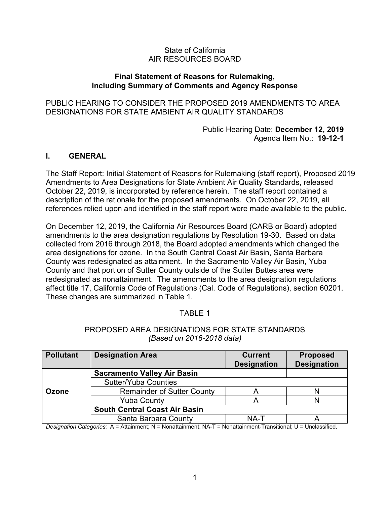### State of California AIR RESOURCES BOARD

### **Final Statement of Reasons for Rulemaking, Including Summary of Comments and Agency Response**

PUBLIC HEARING TO CONSIDER THE PROPOSED 2019 AMENDMENTS TO AREA DESIGNATIONS FOR STATE AMBIENT AIR QUALITY STANDARDS

> Public Hearing Date: **December 12, 2019**  Agenda Item No.: **19-12-1**

### **I. GENERAL**

 October 22, 2019, is incorporated by reference herein. The staff report contained a The Staff Report: Initial Statement of Reasons for Rulemaking (staff report), Proposed 2019 Amendments to Area Designations for State Ambient Air Quality Standards, released description of the rationale for the proposed amendments. On October 22, 2019, all references relied upon and identified in the staff report were made available to the public.

 On December 12, 2019, the California Air Resources Board (CARB or Board) adopted area designations for ozone. In the South Central Coast Air Basin, Santa Barbara redesignated as nonattainment. The amendments to the area designation regulations affect title 17, California Code of Regulations (Cal. Code of Regulations), section 60201.<br>These changes are summarized in Table 1. These changes are summarized in Table 1. amendments to the area designation regulations by Resolution 19-30. Based on data collected from 2016 through 2018, the Board adopted amendments which changed the County was redesignated as attainment. In the Sacramento Valley Air Basin, Yuba County and that portion of Sutter County outside of the Sutter Buttes area were

## TABLE 1

### PROPOSED AREA DESIGNATIONS FOR STATE STANDARDS *(Based on 2016-2018 data)*

| <b>Pollutant</b> | <b>Designation Area</b>              | <b>Current</b><br><b>Designation</b> | <b>Proposed</b><br><b>Designation</b> |
|------------------|--------------------------------------|--------------------------------------|---------------------------------------|
|                  | <b>Sacramento Valley Air Basin</b>   |                                      |                                       |
|                  | <b>Sutter/Yuba Counties</b>          |                                      |                                       |
| <b>Ozone</b>     | <b>Remainder of Sutter County</b>    |                                      |                                       |
|                  | <b>Yuba County</b>                   |                                      |                                       |
|                  | <b>South Central Coast Air Basin</b> |                                      |                                       |
|                  | Santa Barbara County                 | NA-T                                 |                                       |

*Designation Categories:* A = Attainment; N = Nonattainment; NA-T = Nonattainment-Transitional; U = Unclassified.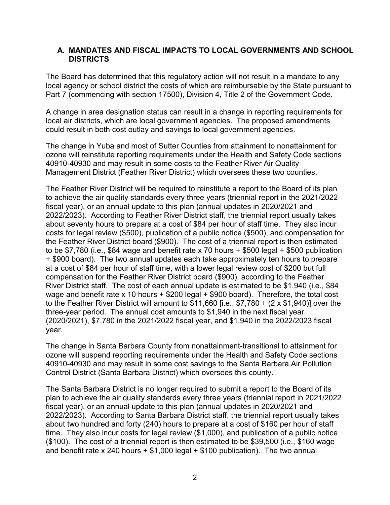### **A. MANDATES AND FISCAL IMPACTS TO LOCAL GOVERNMENTS AND SCHOOL DISTRICTS**

The Board has determined that this regulatory action will not result in a mandate to any local agency or school district the costs of which are reimbursable by the State pursuant to Part 7 (commencing with section 17500), Division 4, Title 2 of the Government Code.

 A change in area designation status can result in a change in reporting requirements for local air districts, which are local government agencies. The proposed amendments could result in both cost outlay and savings to local government agencies.

 The change in Yuba and most of Sutter Counties from attainment to nonattainment for ozone will reinstitute reporting requirements under the Health and Safety Code sections 40910-40930 and may result in some costs to the Feather River Air Quality Management District (Feather River District) which oversees these two counties.

 The Feather River District will be required to reinstitute a report to the Board of its plan to achieve the air quality standards every three years (triennial report in the 2021/2022 fiscal year), or an annual update to this plan (annual updates in 2020/2021 and 2022/2023). According to Feather River District staff, the triennial report usually takes about seventy hours to prepare at a cost of \$84 per hour of staff time. They also incur costs for legal review (\$500), publication of a public notice (\$500), and compensation for the Feather River District board (\$900). The cost of a triennial report is then estimated to be \$7,780 (i.e., \$84 wage and benefit rate x 70 hours + \$500 legal + \$500 publication + \$900 board). The two annual updates each take approximately ten hours to prepare at a cost of \$84 per hour of staff time, with a lower legal review cost of \$200 but full compensation for the Feather River District board (\$900), according to the Feather River District staff. The cost of each annual update is estimated to be \$1,940 (i.e., \$84 wage and benefit rate x 10 hours + \$200 legal + \$900 board). Therefore, the total cost to the Feather River District will amount to \$11,660 [i.e., \$7,780 + (2 x \$1,940)] over the three-year period. The annual cost amounts to \$1,940 in the next fiscal year (2020/2021), \$7,780 in the 2021/2022 fiscal year, and \$1,940 in the 2022/2023 fiscal year.

 The change in Santa Barbara County from nonattainment-transitional to attainment for ozone will suspend reporting requirements under the Health and Safety Code sections 40910-40930 and may result in some cost savings to the Santa Barbara Air Pollution Control District (Santa Barbara District) which oversees this county.

 plan to achieve the air quality standards every three years (triennial report in 2021/2022 2022/2023). According to Santa Barbara District staff, the triennial report usually takes about two hundred and forty (240) hours to prepare at a cost of \$160 per hour of staff time. They also incur costs for legal review (\$1,000), and publication of a public notice (\$100). The cost of a triennial report is then estimated to be \$39,500 (i.e., \$160 wage and benefit rate x 240 hours + \$1,000 legal + \$100 publication). The two annual The Santa Barbara District is no longer required to submit a report to the Board of its fiscal year), or an annual update to this plan (annual updates in 2020/2021 and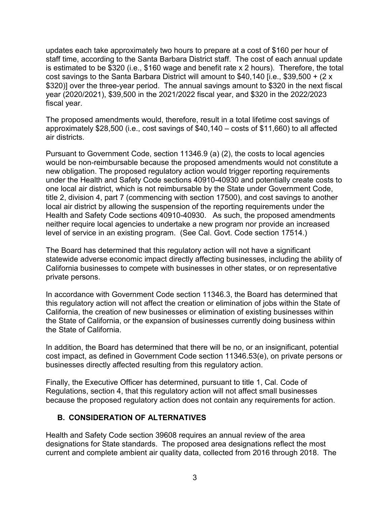updates each take approximately two hours to prepare at a cost of \$160 per hour of staff time, according to the Santa Barbara District staff. The cost of each annual update \$320)] over the three-year period. The annual savings amount to \$320 in the next fiscal is estimated to be \$320 (i.e., \$160 wage and benefit rate x 2 hours). Therefore, the total cost savings to the Santa Barbara District will amount to \$40,140 [i.e., \$39,500 + (2 x year (2020/2021), \$39,500 in the 2021/2022 fiscal year, and \$320 in the 2022/2023 fiscal year.

The proposed amendments would, therefore, result in a total lifetime cost savings of approximately \$28,500 (i.e., cost savings of \$40,140 – costs of \$11,660) to all affected air districts.

 Pursuant to Government Code, section 11346.9 (a) (2), the costs to local agencies would be non-reimbursable because the proposed amendments would not constitute a new obligation. The proposed regulatory action would trigger reporting requirements under the Health and Safety Code sections 40910-40930 and potentially create costs to one local air district, which is not reimbursable by the State under Government Code, title 2, division 4, part 7 (commencing with section 17500), and cost savings to another local air district by allowing the suspension of the reporting requirements under the Health and Safety Code sections 40910-40930. As such, the proposed amendments neither require local agencies to undertake a new program nor provide an increased level of service in an existing program. (See Cal. Govt. Code section 17514.)

The Board has determined that this regulatory action will not have a significant statewide adverse economic impact directly affecting businesses, including the ability of California businesses to compete with businesses in other states, or on representative private persons.

In accordance with Government Code section 11346.3, the Board has determined that this regulatory action will not affect the creation or elimination of jobs within the State of California, the creation of new businesses or elimination of existing businesses within the State of California, or the expansion of businesses currently doing business within the State of California.

In addition, the Board has determined that there will be no, or an insignificant, potential cost impact, as defined in Government Code section 11346.53(e), on private persons or businesses directly affected resulting from this regulatory action.

 Finally, the Executive Officer has determined, pursuant to title 1, Cal. Code of because the proposed regulatory action does not contain any requirements for action. Regulations, section 4, that this regulatory action will not affect small businesses

# **B. CONSIDERATION OF ALTERNATIVES**

 Health and Safety Code section 39608 requires an annual review of the area designations for State standards. The proposed area designations reflect the most current and complete ambient air quality data, collected from 2016 through 2018. The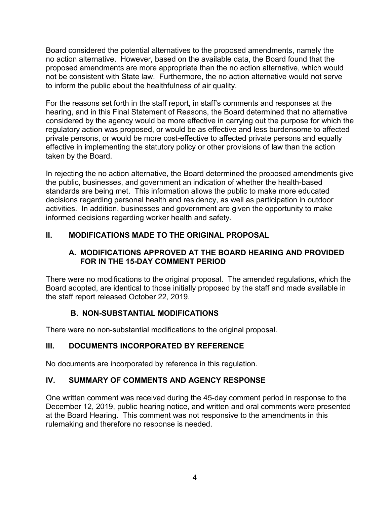no action alternative. However, based on the available data, the Board found that the to inform the public about the healthfulness of air quality. Board considered the potential alternatives to the proposed amendments, namely the proposed amendments are more appropriate than the no action alternative, which would not be consistent with State law. Furthermore, the no action alternative would not serve

For the reasons set forth in the staff report, in staff's comments and responses at the hearing, and in this Final Statement of Reasons, the Board determined that no alternative considered by the agency would be more effective in carrying out the purpose for which the regulatory action was proposed, or would be as effective and less burdensome to affected private persons, or would be more cost-effective to affected private persons and equally effective in implementing the statutory policy or other provisions of law than the action taken by the Board.

 standards are being met. This information allows the public to make more educated In rejecting the no action alternative, the Board determined the proposed amendments give the public, businesses, and government an indication of whether the health-based decisions regarding personal health and residency, as well as participation in outdoor activities. In addition, businesses and government are given the opportunity to make informed decisions regarding worker health and safety.

# **II. MODIFICATIONS MADE TO THE ORIGINAL PROPOSAL**

## **A. MODIFICATIONS APPROVED AT THE BOARD HEARING AND PROVIDED FOR IN THE 15-DAY COMMENT PERIOD**

 There were no modifications to the original proposal. The amended regulations, which the the staff report released October 22, 2019. Board adopted, are identical to those initially proposed by the staff and made available in

# **B. NON-SUBSTANTIAL MODIFICATIONS**

There were no non-substantial modifications to the original proposal.

# **III. DOCUMENTS INCORPORATED BY REFERENCE**

No documents are incorporated by reference in this regulation.

# **IV. SUMMARY OF COMMENTS AND AGENCY RESPONSE**

 at the Board Hearing. This comment was not responsive to the amendments in this One written comment was received during the 45-day comment period in response to the December 12, 2019, public hearing notice, and written and oral comments were presented rulemaking and therefore no response is needed.